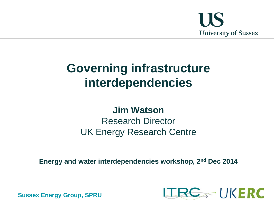

# **Governing infrastructure interdependencies**

## **Jim Watson** Research Director UK Energy Research Centre

**Energy and water interdependencies workshop, 2nd Dec 2014**

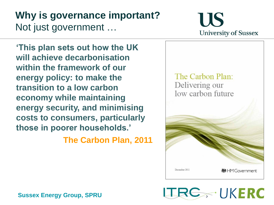## **Why is governance important?** Not just government …



**'This plan sets out how the UK will achieve decarbonisation within the framework of our energy policy: to make the transition to a low carbon economy while maintaining energy security, and minimising costs to consumers, particularly those in poorer households.'** 

**The Carbon Plan, 2011**



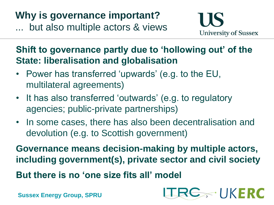**Why is governance important?** ... but also multiple actors & views



**TRE UKERC** 

**Shift to governance partly due to 'hollowing out' of the State: liberalisation and globalisation**

- Power has transferred 'upwards' (e.g. to the EU, multilateral agreements)
- It has also transferred 'outwards' (e.g. to regulatory agencies; public-private partnerships)
- In some cases, there has also been decentralisation and devolution (e.g. to Scottish government)

**Governance means decision-making by multiple actors, including government(s), private sector and civil society**

**But there is no 'one size fits all' model**

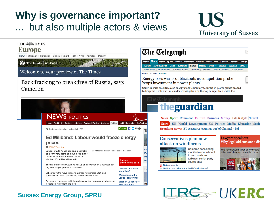## **Why is governance important?** but also multiple actors & views

# **IIS University of Sussex**

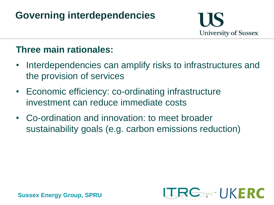## **Governing interdependencies**



#### **Three main rationales:**

- Interdependencies can amplify risks to infrastructures and the provision of services
- Economic efficiency: co-ordinating infrastructure investment can reduce immediate costs
- Co-ordination and innovation: to meet broader sustainability goals (e.g. carbon emissions reduction)

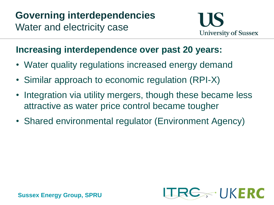#### **Increasing interdependence over past 20 years:**

- Water quality regulations increased energy demand
- Similar approach to economic regulation (RPI-X)
- Integration via utility mergers, though these became less attractive as water price control became tougher
- Shared environmental regulator (Environment Agency)

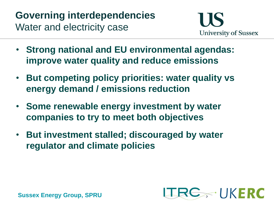- **Strong national and EU environmental agendas: improve water quality and reduce emissions**
- **But competing policy priorities: water quality vs energy demand / emissions reduction**
- **Some renewable energy investment by water companies to try to meet both objectives**
- **But investment stalled; discouraged by water regulator and climate policies**

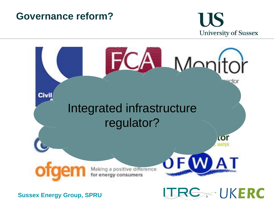## **Governance reform?**

# **US University of Sussex**